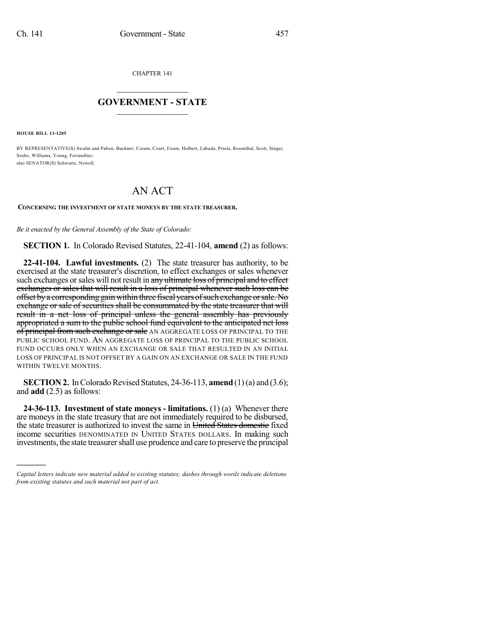CHAPTER 141

## $\overline{\phantom{a}}$  . The set of the set of the set of the set of the set of the set of the set of the set of the set of the set of the set of the set of the set of the set of the set of the set of the set of the set of the set o **GOVERNMENT - STATE**  $\_$

**HOUSE BILL 13-1205**

)))))

BY REPRESENTATIVE(S) Swalm and Pabon, Buckner, Coram, Court, Exum, Holbert, Labuda, Priola, Rosenthal, Scott, Singer, Szabo, Williams, Young, Ferrandino; also SENATOR(S) Schwartz, Newell.

## AN ACT

## **CONCERNING THE INVESTMENT OF STATE MONEYS BY THE STATE TREASURER.**

*Be it enacted by the General Assembly of the State of Colorado:*

**SECTION 1.** In Colorado Revised Statutes, 22-41-104, **amend** (2) as follows:

**22-41-104. Lawful investments.** (2) The state treasurer has authority, to be exercised at the state treasurer's discretion, to effect exchanges or sales whenever such exchanges or sales will not result in any ultimate loss of principal and to effect exchanges or sales that will result in a loss of principal whenever such loss can be offset by a corresponding gain within three fiscal years of such exchange or sale. No exchange or sale of securities shall be consummated by the state treasurer that will result in a net loss of principal unless the general assembly has previously appropriated a sum to the public school fund equivalent to the anticipated net loss of principal from such exchange or sale AN AGGREGATE LOSS OF PRINCIPAL TO THE PUBLIC SCHOOL FUND. AN AGGREGATE LOSS OF PRINCIPAL TO THE PUBLIC SCHOOL FUND OCCURS ONLY WHEN AN EXCHANGE OR SALE THAT RESULTED IN AN INITIAL LOSS OF PRINCIPAL IS NOT OFFSET BY A GAIN ON AN EXCHANGE OR SALE IN THE FUND WITHIN TWELVE MONTHS.

**SECTION 2.** In Colorado Revised Statutes, 24-36-113, **amend** (1)(a) and (3.6); and **add** (2.5) as follows:

**24-36-113. Investment of state moneys - limitations.** (1) (a) Whenever there are moneys in the state treasury that are not immediately required to be disbursed, the state treasurer is authorized to invest the same in United States domestic fixed income securities DENOMINATED IN UNITED STATES DOLLARS. In making such investments, the state treasurer shall use prudence and care to preserve the principal

*Capital letters indicate new material added to existing statutes; dashes through words indicate deletions from existing statutes and such material not part of act.*